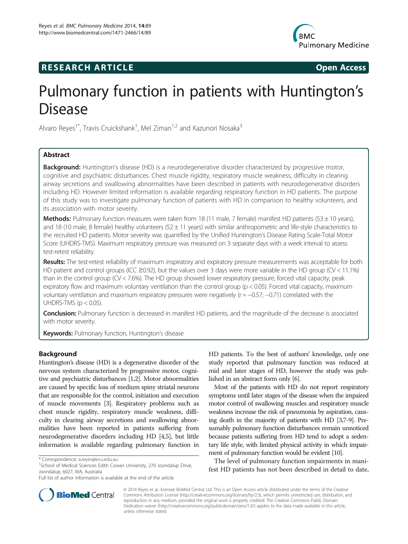## **RESEARCH ARTICLE Example 2014 CONSIDERING CONSIDERING CONSIDERING CONSIDERING CONSIDERING CONSIDERING CONSIDERING CONSIDERING CONSIDERING CONSIDERING CONSIDERING CONSIDERING CONSIDERING CONSIDERING CONSIDERING CONSIDE**



# Pulmonary function in patients with Huntington's Disease

Alvaro Reyes<sup>1\*</sup>, Travis Cruickshank<sup>1</sup>, Mel Ziman<sup>1,2</sup> and Kazunori Nosaka<sup>3</sup>

## Abstract

**Background:** Huntington's disease (HD) is a neurodegenerative disorder characterized by progressive motor, cognitive and psychiatric disturbances. Chest muscle rigidity, respiratory muscle weakness, difficulty in clearing airway secretions and swallowing abnormalities have been described in patients with neurodegenerative disorders including HD. However limited information is available regarding respiratory function in HD patients. The purpose of this study was to investigate pulmonary function of patients with HD in comparison to healthy volunteers, and its association with motor severity.

Methods: Pulmonary function measures were taken from 18 (11 male, 7 female) manifest HD patients (53 ± 10 years), and 18 (10 male, 8 female) healthy volunteers (52  $\pm$  11 years) with similar anthropometric and life-style characteristics to the recruited HD patients. Motor severity was quantified by the Unified Huntington's Disease Rating Scale-Total Motor Score (UHDRS-TMS). Maximum respiratory pressure was measured on 3 separate days with a week interval to assess test-retest reliability.

Results: The test-retest reliability of maximum inspiratory and expiratory pressure measurements was acceptable for both HD patient and control groups (ICC ≥0.92), but the values over 3 days were more variable in the HD group (CV < 11.1%) than in the control group (CV < 7.6%). The HD group showed lower respiratory pressure, forced vital capacity, peak expiratory flow and maximum voluntary ventilation than the control group (p < 0.05). Forced vital capacity, maximum voluntary ventilation and maximum respiratory pressures were negatively (r = −0.57; −0.71) correlated with the UHDRS-TMS ( $p < 0.05$ ).

**Conclusion:** Pulmonary function is decreased in manifest HD patients, and the magnitude of the decrease is associated with motor severity.

**Keywords:** Pulmonary function, Huntington's disease

## Background

Huntington's disease (HD) is a degenerative disorder of the nervous system characterized by progressive motor, cognitive and psychiatric disturbances [\[1,2\]](#page-6-0). Motor abnormalities are caused by specific loss of medium spiny striatal neurons that are responsible for the control, initiation and execution of muscle movements [[3](#page-6-0)]. Respiratory problems such as chest muscle rigidity, respiratory muscle weakness, difficulty in clearing airway secretions and swallowing abnormalities have been reported in patients suffering from neurodegenerative disorders including HD [\[4,5\]](#page-6-0), but little information is available regarding pulmonary function in HD patients. To the best of authors' knowledge, only one study reported that pulmonary function was reduced at mid and later stages of HD, however the study was published in an abstract form only [[6](#page-6-0)].

Most of the patients with HD do not report respiratory symptoms until later stages of the disease when the impaired motor control of swallowing muscles and respiratory muscle weakness increase the risk of pneumonia by aspiration, causing death in the majority of patients with HD [[3,7-9\]](#page-6-0). Presumably pulmonary function disturbances remain unnoticed because patients suffering from HD tend to adopt a sedentary life style, with limited physical activity in which impairment of pulmonary function would be evident [\[10\]](#page-6-0).

The level of pulmonary function impairments in manifest HD patients has not been described in detail to date,



© 2014 Reyes et al.; licensee BioMed Central Ltd. This is an Open Access article distributed under the terms of the Creative Commons Attribution License [\(http://creativecommons.org/licenses/by/2.0\)](http://creativecommons.org/licenses/by/2.0), which permits unrestricted use, distribution, and reproduction in any medium, provided the original work is properly credited. The Creative Commons Public Domain Dedication waiver [\(http://creativecommons.org/publicdomain/zero/1.0/](http://creativecommons.org/publicdomain/zero/1.0/)) applies to the data made available in this article, unless otherwise stated.

<sup>\*</sup> Correspondence: [a.reyes@ecu.edu.au](mailto:a.reyes@ecu.edu.au) <sup>1</sup>

<sup>&</sup>lt;sup>1</sup>School of Medical Sciences Edith Cowan University, 270 Joondalup Drive, Joondalup, 6027, WA, Australia

Full list of author information is available at the end of the article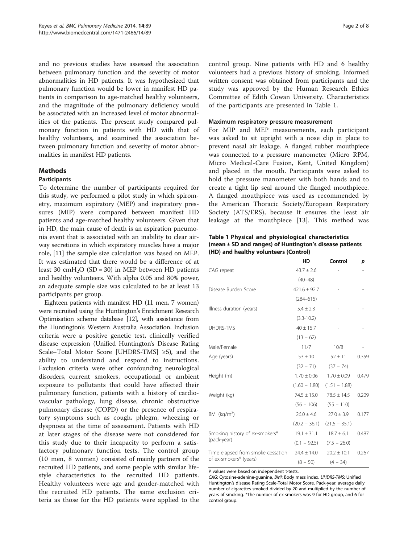<span id="page-1-0"></span>and no previous studies have assessed the association between pulmonary function and the severity of motor abnormalities in HD patients. It was hypothesized that pulmonary function would be lower in manifest HD patients in comparison to age-matched healthy volunteers, and the magnitude of the pulmonary deficiency would be associated with an increased level of motor abnormalities of the patients. The present study compared pulmonary function in patients with HD with that of healthy volunteers, and examined the association between pulmonary function and severity of motor abnormalities in manifest HD patients.

## Methods

#### Participants

To determine the number of participants required for this study, we performed a pilot study in which spirometry, maximum expiratory (MEP) and inspiratory pressures (MIP) were compared between manifest HD patients and age-matched healthy volunteers. Given that in HD, the main cause of death is an aspiration pneumonia event that is associated with an inability to clear airway secretions in which expiratory muscles have a major role, [[11\]](#page-6-0) the sample size calculation was based on MEP. It was estimated that there would be a difference of at least 30 cmH<sub>2</sub>O (SD = 30) in MEP between HD patients and healthy volunteers. With alpha 0.05 and 80% power, an adequate sample size was calculated to be at least 13 participants per group.

Eighteen patients with manifest HD (11 men, 7 women) were recruited using the Huntington's Enrichment Research Optimisation scheme database [[12](#page-6-0)], with assistance from the Huntington's Western Australia Association. Inclusion criteria were a positive genetic test, clinically verified disease expression (Unified Huntington's Disease Rating Scale–Total Motor Score [UHDRS-TMS] ≥5), and the ability to understand and respond to instructions. Exclusion criteria were other confounding neurological disorders, current smokers, occupational or ambient exposure to pollutants that could have affected their pulmonary function, patients with a history of cardiovascular pathology, lung disease, chronic obstructive pulmonary disease (COPD) or the presence of respiratory symptoms such as cough, phlegm, wheezing or dyspnoea at the time of assessment. Patients with HD at later stages of the disease were not considered for this study due to their incapacity to perform a satisfactory pulmonary function tests. The control group (10 men, 8 women) consisted of mainly partners of the recruited HD patients, and some people with similar lifestyle characteristics to the recruited HD patients. Healthy volunteers were age and gender-matched with the recruited HD patients. The same exclusion criteria as those for the HD patients were applied to the

control group. Nine patients with HD and 6 healthy volunteers had a previous history of smoking. Informed written consent was obtained from participants and the study was approved by the Human Research Ethics Committee of Edith Cowan University. Characteristics of the participants are presented in Table 1.

#### Maximum respiratory pressure measurement

For MIP and MEP measurements, each participant was asked to sit upright with a nose clip in place to prevent nasal air leakage. A flanged rubber mouthpiece was connected to a pressure manometer (Micro RPM, Micro Medical-Care Fusion, Kent, United Kingdom) and placed in the mouth. Participants were asked to hold the pressure manometer with both hands and to create a tight lip seal around the flanged mouthpiece. A flanged mouthpiece was used as recommended by the American Thoracic Society/European Respiratory Society (ATS/ERS), because it ensures the least air leakage at the mouthpiece [\[13](#page-6-0)]. This method was

## Table 1 Physical and physiological characteristics (mean ± SD and ranges) of Huntington's disease patients (HD) and healthy volunteers (Control)

|                                   | HD              | Control         | p     |
|-----------------------------------|-----------------|-----------------|-------|
| CAG repeat                        | $43.7 \pm 2.6$  |                 |       |
|                                   | $(40 - 48)$     |                 |       |
| Disease Burden Score              | $421.6 + 92.7$  |                 |       |
|                                   | $(284 - 615)$   |                 |       |
| Illness duration (years)          | $5.4 \pm 2.3$   |                 |       |
|                                   | $(3.3 - 10.2)$  |                 |       |
| <b>UHDRS-TMS</b>                  | $40 \pm 15.7$   |                 |       |
|                                   | $(13 - 62)$     |                 |       |
| Male/Female                       | 11/7            | 10/8            |       |
| Age (years)                       | $53 \pm 10$     | $52 \pm 11$     | 0.359 |
|                                   | $(32 - 71)$     | $(37 - 74)$     |       |
| Height (m)                        | $1.70 \pm 0.06$ | $1.70 \pm 0.09$ | 0.479 |
|                                   | $(1.60 - 1.80)$ | $(1.51 - 1.88)$ |       |
| Weight (kg)                       | $74.5 \pm 15.0$ | $78.5 \pm 14.5$ | 0.209 |
|                                   | $(56 - 106)$    | $(55 - 110)$    |       |
| BMI ( $kg/m2$ )                   | $26.0 \pm 4.6$  | $27.0 \pm 3.9$  | 0.177 |
|                                   | $(20.2 - 36.1)$ | $(21.5 - 35.1)$ |       |
| Smoking history of ex-smokers*    | $19.1 \pm 31.1$ | $18.7 + 6.1$    | 0.487 |
| (pack-year)                       | $(0.1 - 92.5)$  | $(7.5 - 26.0)$  |       |
| Time elapsed from smoke cessation | $24.4 \pm 14.0$ | $20.2 \pm 10.1$ | 0.267 |
| of ex-smokers* (years)            | $(8 - 50)$      | $(4 - 34)$      |       |

P values were based on independent t-tests.

CAG: Cytosine-adenine-guanine, BMI: Body mass index. UHDRS-TMS: Unified Huntington's disease Rating Scale-Total Motor Score. Pack-year: average daily number of cigarettes smoked divided by 20 and multiplied by the number of years of smoking. \*The number of ex-smokers was 9 for HD group, and 6 for control group.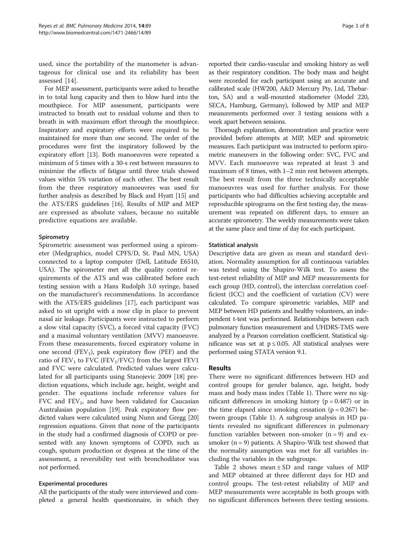used, since the portability of the manometer is advantageous for clinical use and its reliability has been assessed [\[14](#page-6-0)].

For MEP assessment, participants were asked to breathe in to total lung capacity and then to blow hard into the mouthpiece. For MIP assessment, participants were instructed to breath out to residual volume and then to breath in with maximum effort through the mouthpiece. Inspiratory and expiratory efforts were required to be maintained for more than one second. The order of the procedures were first the inspiratory followed by the expiratory effort [\[13\]](#page-6-0). Both manoeuvres were repeated a minimum of 5 times with a 30-s rest between measures to minimize the effects of fatigue until three trials showed values within 5% variation of each other. The best result from the three respiratory manoeuvres was used for further analysis as described by Black and Hyatt [[15](#page-6-0)] and the ATS/ERS guidelines [[16](#page-6-0)]. Results of MIP and MEP are expressed as absolute values, because no suitable predictive equations are available.

### **Spirometry**

Spirometric assessment was performed using a spirometer (Medgraphics, model CPFS/D, St. Paul MN, USA) connected to a laptop computer (Dell, Latitude E6510, USA). The spirometer met all the quality control requirements of the ATS and was calibrated before each testing session with a Hans Rudolph 3.0 syringe, based on the manufacturer's recommendations. In accordance with the ATS/ERS guidelines [[17](#page-7-0)], each participant was asked to sit upright with a nose clip in place to prevent nasal air leakage. Participants were instructed to perform a slow vital capacity (SVC), a forced vital capacity (FVC) and a maximal voluntary ventilation (MVV) manoeuvre. From these measurements, forced expiratory volume in one second  $(FEV_1)$ , peak expiratory flow (PEF) and the ratio of  $FEV<sub>1</sub>$  to FVC (FEV<sub>1</sub>/FVC) from the largest FEV1 and FVC were calculated. Predicted values were calculated for all participants using Stanojevic 2009 [\[18\]](#page-7-0) prediction equations, which include age, height, weight and gender. The equations include reference values for FVC and  $FEV_1$ , and have been validated for Caucasian Australasian population [\[19](#page-7-0)]. Peak expiratory flow predicted values were calculated using Nunn and Gregg [[20](#page-7-0)] regression equations. Given that none of the participants in the study had a confirmed diagnosis of COPD or presented with any known symptoms of COPD, such as cough, sputum production or dyspnea at the time of the assessment, a reversibility test with bronchodilator was not performed.

#### Experimental procedures

All the participants of the study were interviewed and completed a general health questionnaire, in which they

reported their cardio-vascular and smoking history as well as their respiratory condition. The body mass and height were recorded for each participant using an accurate and calibrated scale (HW200, A&D Mercury Pty, Ltd, Thebarton, SA) and a wall-mounted stadiometer (Model 220, SECA, Hamburg, Germany), followed by MIP and MEP measurements performed over 3 testing sessions with a week apart between sessions.

Thorough explanation, demonstration and practice were provided before attempts at MIP, MEP and spirometric measures. Each participant was instructed to perform spirometric maneuvers in the following order: SVC, FVC and MVV. Each manoeuvre was repeated at least 3 and maximum of 8 times, with 1–2 min rest between attempts. The best result from the three technically acceptable manoeuvres was used for further analysis. For those participants who had difficulties achieving acceptable and reproducible spirograms on the first testing day, the measurement was repeated on different days, to ensure an accurate spirometry. The weekly measurements were taken at the same place and time of day for each participant.

### Statistical analysis

Descriptive data are given as mean and standard deviation. Normality assumption for all continuous variables was tested using the Shapiro-Wilk test. To assess the test-retest reliability of MIP and MEP measurements for each group (HD, control), the interclass correlation coefficient (ICC) and the coefficient of variation (CV) were calculated. To compare spirometric variables, MIP and MEP between HD patients and healthy volunteers, an independent t-test was performed. Relationships between each pulmonary function measurement and UHDRS-TMS were analyzed by a Pearson correlation coefficient. Statistical significance was set at  $p \le 0.05$ . All statistical analyses were performed using STATA version 9.1.

## Results

There were no significant differences between HD and control groups for gender balance, age, height, body mass and body mass index (Table [1\)](#page-1-0). There were no significant differences in smoking history ( $p = 0.487$ ) or in the time elapsed since smoking cessation ( $p = 0.267$ ) between groups (Table [1](#page-1-0)). A subgroup analysis in HD patients revealed no significant differences in pulmonary function variables between non-smoker  $(n = 9)$  and exsmoker  $(n = 9)$  patients. A Shapiro-Wilk test showed that the normality assumption was met for all variables including the variables in the subgroups.

Table [2](#page-3-0) shows mean  $\pm$  SD and range values of MIP and MEP obtained at three different days for HD and control groups. The test-retest reliability of MIP and MEP measurements were acceptable in both groups with no significant differences between three testing sessions.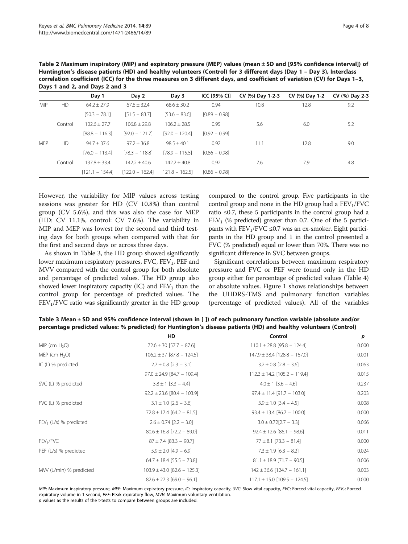|            | Days 1 and 2, and Days 2 and 3 |                   |                   |                  |                 |                  |                |                |
|------------|--------------------------------|-------------------|-------------------|------------------|-----------------|------------------|----------------|----------------|
|            |                                | Day 1             | Day 2             | Day 3            | ICC [95% CI]    | CV (%) Day 1-2-3 | CV (%) Day 1-2 | CV (%) Day 2-3 |
| <b>MIP</b> | <b>HD</b>                      | $64.2 \pm 27.9$   | $67.6 + 32.4$     | $68.6 + 30.2$    | 0.94            | 10.8             | 12.8           | 9.2            |
|            |                                | $[50.3 - 78.1]$   | $[51.5 - 83.7]$   | $[53.6 - 83.6]$  | $[0.89 - 0.98]$ |                  |                |                |
|            | Control                        | $102.6 + 27.7$    | $106.8 \pm 29.8$  | $106.2 + 28.5$   | 0.95            | 5.6              | 6.0            | 5.2            |
|            |                                | $[88.8 - 116.3]$  | $[92.0 - 121.7]$  | $[92.0 - 120.4]$ | $[0.92 - 0.99]$ |                  |                |                |
| <b>MEP</b> | <b>HD</b>                      | $94.7 + 37.6$     | $97.2 \pm 36.8$   | $98.5 + 40.1$    | 0.92            | 11.1             | 12.8           | 9.0            |
|            |                                | $[76.0 - 113.4]$  | $[78.3 - 118.8]$  | $[78.9 - 115.5]$ | $[0.86 - 0.98]$ |                  |                |                |
|            | Control                        | $137.8 + 33.4$    | $142.2 + 40.6$    | $142.2 + 40.8$   | 0.92            | 7.6              | 7.9            | 4.8            |
|            |                                | $[121.1 - 154.4]$ | $[122.0 - 162.4]$ | $121.8 - 162.5$  | $[0.86 - 0.98]$ |                  |                |                |

<span id="page-3-0"></span>Table 2 Maximum inspiratory (MIP) and expiratory pressure (MEP) values (mean ± SD and [95% confidence interval]) of Huntington's disease patients (HD) and healthy volunteers (Control) for 3 different days (Day 1 – Day 3), Interclass correlation coefficient (ICC) for the three measures on 3 different days, and coefficient of variation (CV) for Days 1–3,

However, the variability for MIP values across testing sessions was greater for HD (CV 10.8%) than control group (CV 5.6%), and this was also the case for MEP (HD: CV 11.1%, control: CV 7.6%). The variability in MIP and MEP was lowest for the second and third testing days for both groups when compared with that for the first and second days or across three days.

As shown in Table 3, the HD group showed significantly lower maximum respiratory pressures, FVC, FEV<sub>1</sub>, PEF and MVV compared with the control group for both absolute and percentage of predicted values. The HD group also showed lower inspiratory capacity (IC) and  $FEV<sub>1</sub>$  than the control group for percentage of predicted values. The  $FEV<sub>1</sub>/FVC$  ratio was significantly greater in the HD group compared to the control group. Five participants in the control group and none in the HD group had a  $FEV<sub>1</sub>/FVC$ ratio ≤0.7, these 5 participants in the control group had a  $FEV<sub>1</sub>$  (% predicted) greater than 0.7. One of the 5 participants with  $FEV_1/FVC \leq 0.7$  was an ex-smoker. Eight participants in the HD group and 1 in the control presented a FVC (% predicted) equal or lower than 70%. There was no significant difference in SVC between groups.

Significant correlations between maximum respiratory pressure and FVC or PEF were found only in the HD group either for percentage of predicted values (Table [4](#page-4-0)) or absolute values. Figure [1](#page-5-0) shows relationships between the UHDRS-TMS and pulmonary function variables (percentage of predicted values). All of the variables

|                           | HD                              | Control                          | р     |
|---------------------------|---------------------------------|----------------------------------|-------|
| MIP (cm $H_2O$ )          | $72.6 \pm 30$ [57.7 - 87.6]     | $110.1 \pm 28.8$ [95.8 - 124.4]  | 0.000 |
| MEP (cm $H_2O$ )          | $106.2 \pm 37$ [87.8 - 124.5]   | $147.9 \pm 38.4$ [128.8 - 167.0] | 0.001 |
| IC $(L)$ % predicted      | $2.7 \pm 0.8$ [2.3 - 3.1]       | $3.2 \pm 0.8$ [2.8 - 3.6]        | 0.063 |
|                           | $97.0 \pm 24.9$ [84.7 - 109.4]  | $112.3 \pm 14.2$ [105.2 - 119.4] | 0.015 |
| SVC (L) % predicted       | $3.8 \pm 1$ [3.3 - 4.4]         | $4.0 \pm 1$ [3.6 - 4.6]          | 0.237 |
|                           | $92.2 \pm 23.6$ [80.4 - 103.9]  | $97.4 \pm 11.4$ [91.7 - 103.0]   | 0.203 |
| FVC (L) % predicted       | $3.1 \pm 1.0$ [2.6 - 3.6]       | $3.9 \pm 1.0$ [3.4 - 4.5]        | 0.008 |
|                           | $72.8 \pm 17.4$ [64.2 - 81.5]   | $93.4 \pm 13.4$ [86.7 - 100.0]   | 0.000 |
| $FEV_1$ (L/s) % predicted | $2.6 \pm 0.74$ [2.2 - 3.0]      | $3.0 \pm 0.72[2.7 - 3.3]$        | 0.066 |
|                           | $80.6 \pm 16.8$ [72.2 - 89.0]   | $92.4 \pm 12.6$ [86.1 - 98.6]    | 0.011 |
| FEV <sub>1</sub> /FVC     | $87 \pm 7.4$ [83.3 - 90.7]      | $77 \pm 8.1$ [73.3 - 81.4]       | 0.000 |
| PEF (L/s) % predicted     | $5.9 \pm 2.0$ [4.9 - 6.9]       | $7.3 \pm 1.9$ [6.3 – 8.2]        | 0.024 |
|                           | $64.7 \pm 18.4$ [55.5 - 73.8]   | $81.1 \pm 18.9$ [71.7 - 90.5]    | 0.006 |
| MW (L/min) % predicted    | $103.9 \pm 43.0$ [82.6 - 125.3] | $142 \pm 36.6$ [124.7 - 161.1]   | 0.003 |
|                           | $82.6 \pm 27.3$ [69.0 - 96.1]   | $117.1 \pm 15.0$ [109.5 - 124.5] | 0.000 |

Table 3 Mean ± SD and 95% confidence interval (shown in [ ]) of each pulmonary function variable (absolute and/or percentage predicted values: % predicted) for Huntington's disease patients (HD) and healthy volunteers (Control)

MIP: Maximum inspiratory pressure, MEP: Maximum expiratory pressure, IC: Inspiratory capacity, SVC: Slow vital capacity, FVC: Forced vital capacity, FEV<sub>1</sub>: Forced expiratory volume in 1 second, PEF: Peak expiratory flow, MVV: Maximum voluntary ventilation. p values as the results of the t-tests to compare between groups are included.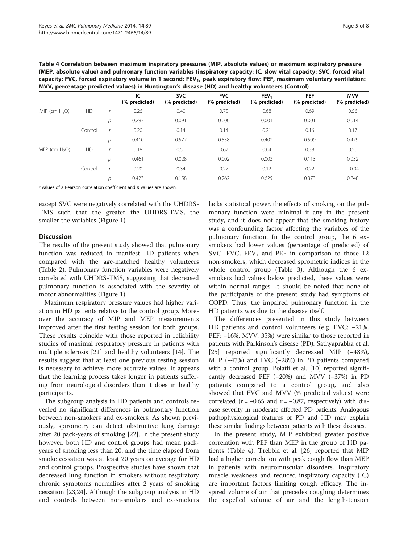<span id="page-4-0"></span>

| Table 4 Correlation between maximum inspiratory pressures (MIP, absolute values) or maximum expiratory pressure                   |
|-----------------------------------------------------------------------------------------------------------------------------------|
| (MEP, absolute value) and pulmonary function variables (inspiratory capacity: IC, slow vital capacity: SVC, forced vital          |
| capacity: FVC, forced expiratory volume in 1 second: FEV <sub>1</sub> , peak expiratory flow: PEF, maximum voluntary ventilation: |
| MVV, percentage predicted values) in Huntington's disease (HD) and healthy volunteers (Control)                                   |

|                  |           |   | IC<br>(% predicted) | <b>SVC</b><br>(% predicted) | <b>FVC</b><br>(% predicted) | FEV <sub>1</sub><br>(% predicted) | <b>PEF</b><br>(% predicted) | <b>MVV</b><br>(% predicted) |
|------------------|-----------|---|---------------------|-----------------------------|-----------------------------|-----------------------------------|-----------------------------|-----------------------------|
| MIP (cm $H_2O$ ) | HD        |   | 0.26                | 0.40                        | 0.75                        | 0.68                              | 0.69                        | 0.56                        |
|                  |           | р | 0.293               | 0.091                       | 0.000                       | 0.001                             | 0.001                       | 0.014                       |
|                  | Control   | × | 0.20                | 0.14                        | 0.14                        | 0.21                              | 0.16                        | 0.17                        |
|                  |           | р | 0.410               | 0.577                       | 0.558                       | 0.402                             | 0.509                       | 0.479                       |
| MEP (cm $H_2O$ ) | <b>HD</b> |   | 0.18                | 0.51                        | 0.67                        | 0.64                              | 0.38                        | 0.50                        |
|                  |           | р | 0.461               | 0.028                       | 0.002                       | 0.003                             | 0.113                       | 0.032                       |
|                  | Control   |   | 0.20                | 0.34                        | 0.27                        | 0.12                              | 0.22                        | $-0.04$                     |
|                  |           | р | 0.423               | 0.158                       | 0.262                       | 0.629                             | 0.373                       | 0.848                       |

 $r$  values of a Pearson correlation coefficient and  $p$  values are shown.

except SVC were negatively correlated with the UHDRS-TMS such that the greater the UHDRS-TMS, the smaller the variables (Figure [1](#page-5-0)).

## Discussion

The results of the present study showed that pulmonary function was reduced in manifest HD patients when compared with the age-matched healthy volunteers (Table [2](#page-3-0)). Pulmonary function variables were negatively correlated with UHDRS-TMS, suggesting that decreased pulmonary function is associated with the severity of motor abnormalities (Figure [1\)](#page-5-0).

Maximum respiratory pressure values had higher variation in HD patients relative to the control group. Moreover the accuracy of MIP and MEP measurements improved after the first testing session for both groups. These results coincide with those reported in reliability studies of maximal respiratory pressure in patients with multiple sclerosis [[21\]](#page-7-0) and healthy volunteers [\[14](#page-6-0)]. The results suggest that at least one previous testing session is necessary to achieve more accurate values. It appears that the learning process takes longer in patients suffering from neurological disorders than it does in healthy participants.

The subgroup analysis in HD patients and controls revealed no significant differences in pulmonary function between non-smokers and ex-smokers. As shown previously, spirometry can detect obstructive lung damage after 20 pack-years of smoking [\[22](#page-7-0)]. In the present study however, both HD and control groups had mean packyears of smoking less than 20, and the time elapsed from smoke cessation was at least 20 years on average for HD and control groups. Prospective studies have shown that decreased lung function in smokers without respiratory chronic symptoms normalises after 2 years of smoking cessation [\[23,24\]](#page-7-0). Although the subgroup analysis in HD and controls between non-smokers and ex-smokers lacks statistical power, the effects of smoking on the pulmonary function were minimal if any in the present study, and it does not appear that the smoking history was a confounding factor affecting the variables of the pulmonary function. In the control group, the 6 exsmokers had lower values (percentage of predicted) of SVC, FVC,  $FEV_1$  and PEF in comparison to those 12 non-smokers, which decreased sprometric indices in the whole control group (Table [3\)](#page-3-0). Although the 6 exsmokers had values below predicted, these values were within normal ranges. It should be noted that none of the participants of the present study had symptoms of COPD. Thus, the impaired pulmonary function in the HD patients was due to the disease itself.

The differences presented in this study between HD patients and control volunteers (e.g. FVC: −21%. PEF: −16%, MVV: 35%) were similar to those reported in patients with Parkinson's disease (PD). Sathyaprabha et al. [[25\]](#page-7-0) reported significantly decreased MIP (−48%), MEP (−47%) and FVC (−28%) in PD patients compared with a control group. Polatli et al. [[10](#page-6-0)] reported significantly decreased PEF (−20%) and MVV (−37%) in PD patients compared to a control group, and also showed that FVC and MVV (% predicted values) were correlated  $(r = -0.65$  and  $r = -0.87$ , respectively) with disease severity in moderate affected PD patients. Analogous pathophysiological features of PD and HD may explain these similar findings between patients with these diseases.

In the present study, MIP exhibited greater positive correlation with PEF than MEP in the group of HD patients (Table 4). Trebbia et al. [[26\]](#page-7-0) reported that MIP had a higher correlation with peak cough flow than MEP in patients with neuromuscular disorders. Inspiratory muscle weakness and reduced inspiratory capacity (IC) are important factors limiting cough efficacy. The inspired volume of air that precedes coughing determines the expelled volume of air and the length-tension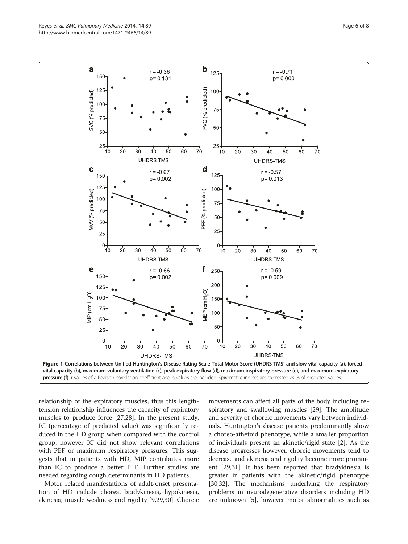<span id="page-5-0"></span>

relationship of the expiratory muscles, thus this lengthtension relationship influences the capacity of expiratory muscles to produce force [[27,28\]](#page-7-0). In the present study, IC (percentage of predicted value) was significantly reduced in the HD group when compared with the control group, however IC did not show relevant correlations with PEF or maximum respiratory pressures. This suggests that in patients with HD, MIP contributes more than IC to produce a better PEF. Further studies are needed regarding cough determinants in HD patients.

Motor related manifestations of adult-onset presentation of HD include chorea, bradykinesia, hypokinesia, akinesia, muscle weakness and rigidity [\[9](#page-6-0)[,29,30\]](#page-7-0). Choreic movements can affect all parts of the body including respiratory and swallowing muscles [\[29\]](#page-7-0). The amplitude and severity of choreic movements vary between individuals. Huntington's disease patients predominantly show a choreo-athetoid phenotype, while a smaller proportion of individuals present an akinetic/rigid state [[2\]](#page-6-0). As the disease progresses however, choreic movements tend to decrease and akinesia and rigidity become more prominent [\[29,31](#page-7-0)]. It has been reported that bradykinesia is greater in patients with the akinetic/rigid phenotype [[30](#page-7-0),[32](#page-7-0)]. The mechanisms underlying the respiratory problems in neurodegenerative disorders including HD are unknown [[5\]](#page-6-0), however motor abnormalities such as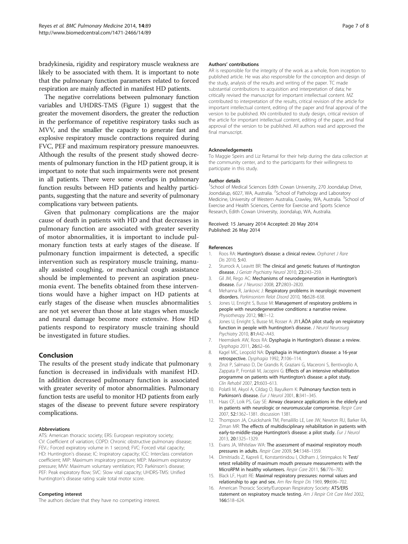<span id="page-6-0"></span>bradykinesia, rigidity and respiratory muscle weakness are likely to be associated with them. It is important to note that the pulmonary function parameters related to forced respiration are mainly affected in manifest HD patients.

The negative correlations between pulmonary function variables and UHDRS-TMS (Figure [1\)](#page-5-0) suggest that the greater the movement disorders, the greater the reduction in the performance of repetitive respiratory tasks such as MVV, and the smaller the capacity to generate fast and explosive respiratory muscle contractions required during FVC, PEF and maximum respiratory pressure manoeuvres. Although the results of the present study showed decrements of pulmonary function in the HD patient group, it is important to note that such impairments were not present in all patients. There were some overlaps in pulmonary function results between HD patients and healthy participants, suggesting that the nature and severity of pulmonary complications vary between patients.

Given that pulmonary complications are the major cause of death in patients with HD and that decreases in pulmonary function are associated with greater severity of motor abnormalities, it is important to include pulmonary function tests at early stages of the disease. If pulmonary function impairment is detected, a specific intervention such as respiratory muscle training, manually assisted coughing, or mechanical cough assistance should be implemented to prevent an aspiration pneumonia event. The benefits obtained from these interventions would have a higher impact on HD patients at early stages of the disease when muscles abnormalities are not yet severer than those at late stages when muscle and neural damage become more extensive. How HD patients respond to respiratory muscle training should be investigated in future studies.

## Conclusion

The results of the present study indicate that pulmonary function is decreased in individuals with manifest HD. In addition decreased pulmonary function is associated with greater severity of motor abnormalities. Pulmonary function tests are useful to monitor HD patients from early stages of the disease to prevent future severe respiratory complications.

#### Abbreviations

ATS: American thoracic society; ERS: European respiratory society; CV: Coefficient of variation; COPD: Chronic obstructive pulmonary disease; FEV<sub>1</sub>: Forced expiratory volume in 1 second; FVC: Forced vital capacity; HD: Huntington's disease; IC: Inspiratory capacity; ICC: Interclass correlation coefficient; MIP: Maximum inspiratory pressure; MEP: Maximum expiratory pressure; MVV: Maximum voluntary ventilation; PD: Parkinson's disease; PEF: Peak expiratory flow; SVC: Slow vital capacity; UHDRS-TMS: Unified huntington's disease rating scale total motor score.

#### Competing interest

The authors declare that they have no competing interest.

#### Authors' contributions

AR is responsible for the integrity of the work as a whole, from inception to published article. He was also responsible for the conception and design of the study, analysis of the results and writing of the paper. TC made substantial contributions to acquisition and interpretation of data; he critically revised the manuscript for important intellectual content. MZ contributed to interpretation of the results, critical revision of the article for important intellectual content, editing of the paper and final approval of the version to be published. KN contributed to study design, critical revision of the article for important intellectual content, editing of the paper, and final approval of the version to be published. All authors read and approved the final manuscript.

#### Acknowledgements

To Maggie Speirs and Liz Retamal for their help during the data collection at the community center, and to the participants for their willingness to participate in this study.

#### Author details

<sup>1</sup>School of Medical Sciences Edith Cowan University, 270 Joondalup Drive Joondalup, 6027, WA, Australia. <sup>2</sup>School of Pathology and Laboratory Medicine, University of Western Australia, Crawley, WA, Australia. <sup>3</sup>School of Exercise and Health Sciences, Centre for Exercise and Sports Science Research, Edith Cowan University, Joondalup, WA, Australia.

#### Received: 15 January 2014 Accepted: 20 May 2014 Published: 26 May 2014

#### References

- 1. Roos RA: Huntington's disease: a clinical review. Orphanet J Rare Dis 2010, 5:40.
- 2. Sturrock A, Leavitt BR: The clinical and genetic features of Huntington disease. J Geriatr Psychiatry Neurol 2010, 23:243-259.
- 3. Gil JM, Rego AC: Mechanisms of neurodegeneration in Huntington's disease. Eur J Neurosci 2008, 27:2803–2820.
- 4. Mehanna R, Jankovic J: Respiratory problems in neurologic movement disorders. Parkinsonism Relat Disord 2010, 16:628-638.
- 5. Jones U, Enright S, Busse M: Management of respiratory problems in people with neurodegenerative conditions: a narrative review. Physiotherapy 2012, 98:1–12.
- 6. Jones U, Enright S, Busse M, Rosser A: J11'ÄÖA pilot study on respiratory function in people with huntington's disease. J Neurol Neurosurg Psychiatry 2010, 81:A42–A43.
- 7. Heemskerk AW, Roos RA: Dysphagia in Huntington's disease: a review. Dysphagia 2011, 26:62–66.
- 8. Kagel MC, Leopold NA: Dysphagia in Huntington's disease: a 16-year retrospective. Dysphagia 1992, 7:106–114.
- 9. Zinzi P, Salmaso D, De Grandis R, Graziani G, Maceroni S, Bentivoglio A, Zappata P, Frontali M, Jacopini G: Effects of an intensive rehabilitation programme on patients with Huntington's disease: a pilot study. Clin Rehabil 2007, 21:603–613.
- 10. Polatli M, Akyol A, Cildag O, Bayulkem K: Pulmonary function tests in Parkinson's disease. Eur J Neurol 2001, 8:341-345.
- 11. Haas CF, Loik PS, Gay SE: Airway clearance applications in the elderly and in patients with neurologic or neuromuscular compromise. Respir Care 2007, 52:1362–1381. discussion 1381.
- 12. Thompson JA, Cruickshank TM, Penailillo LE, Lee JW, Newton RU, Barker RA, Ziman MR: The effects of multidisciplinary rehabilitation in patients with early-to-middle-stage Huntington's disease: a pilot study. Eur J Neurol 2013, 20:1325–1329.
- 13. Evans JA, Whitelaw WA: The assessment of maximal respiratory mouth pressures in adults. Respir Care 2009, 54:1348–1359.
- 14. Dimitriadis Z, Kapreli E, Konstantinidou I, Oldham J, Strimpakos N: Test/ retest reliability of maximum mouth pressure measurements with the MicroRPM in healthy volunteers. Respir Care 2011, 56:776–782.
- 15. Black LF, Hyatt RE: Maximal respiratory pressures: normal values and relationship to age and sex. Am Rev Respir Dis 1969, 99:696–702.
- 16. American Thoracic Society/European Respiratory Society: ATS/ERS statement on respiratory muscle testing. Am J Respir Crit Care Med 2002, 166:518–624.